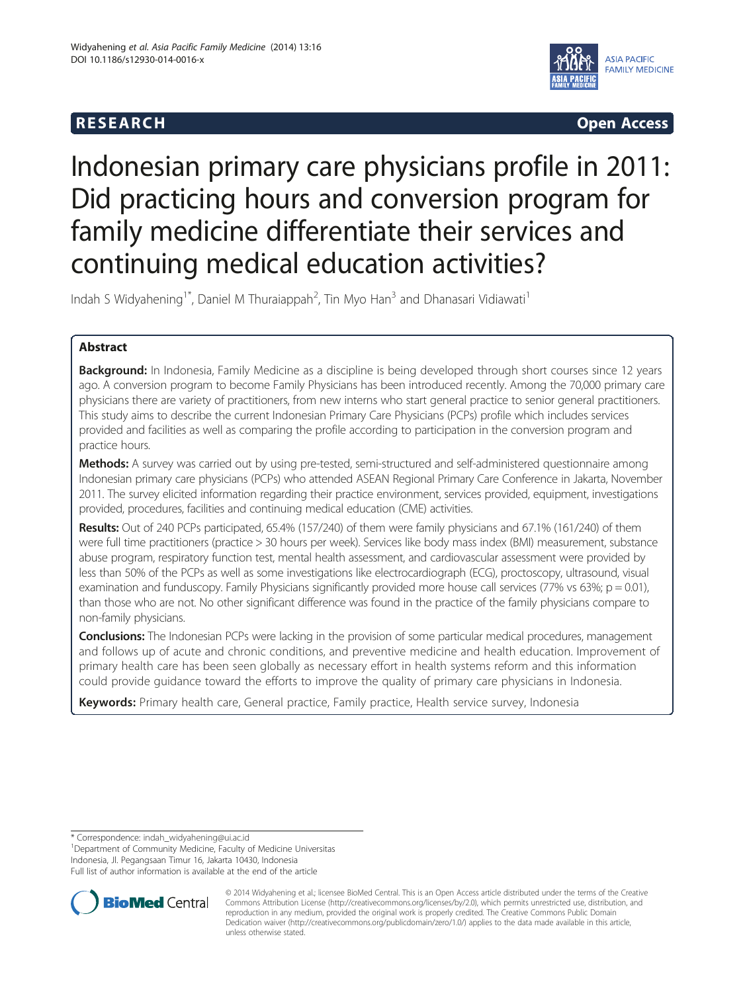# **RESEARCH CHILD CONTROL** CONTROL CONTROL CONTROL CONTROL CONTROL CONTROL CONTROL CONTROL CONTROL CONTROL CONTROL CONTROL CONTROL CONTROL CONTROL CONTROL CONTROL CONTROL CONTROL CONTROL CONTROL CONTROL CONTROL CONTROL CONTR



# Indonesian primary care physicians profile in 2011: Did practicing hours and conversion program for family medicine differentiate their services and continuing medical education activities?

Indah S Widyahening<sup>1\*</sup>, Daniel M Thuraiappah<sup>2</sup>, Tin Myo Han<sup>3</sup> and Dhanasari Vidiawati<sup>1</sup>

# Abstract

**Background:** In Indonesia, Family Medicine as a discipline is being developed through short courses since 12 years ago. A conversion program to become Family Physicians has been introduced recently. Among the 70,000 primary care physicians there are variety of practitioners, from new interns who start general practice to senior general practitioners. This study aims to describe the current Indonesian Primary Care Physicians (PCPs) profile which includes services provided and facilities as well as comparing the profile according to participation in the conversion program and practice hours.

Methods: A survey was carried out by using pre-tested, semi-structured and self-administered questionnaire among Indonesian primary care physicians (PCPs) who attended ASEAN Regional Primary Care Conference in Jakarta, November 2011. The survey elicited information regarding their practice environment, services provided, equipment, investigations provided, procedures, facilities and continuing medical education (CME) activities.

Results: Out of 240 PCPs participated, 65.4% (157/240) of them were family physicians and 67.1% (161/240) of them were full time practitioners (practice > 30 hours per week). Services like body mass index (BMI) measurement, substance abuse program, respiratory function test, mental health assessment, and cardiovascular assessment were provided by less than 50% of the PCPs as well as some investigations like electrocardiograph (ECG), proctoscopy, ultrasound, visual examination and funduscopy. Family Physicians significantly provided more house call services (77% vs 63%;  $p = 0.01$ ), than those who are not. No other significant difference was found in the practice of the family physicians compare to non-family physicians.

**Conclusions:** The Indonesian PCPs were lacking in the provision of some particular medical procedures, management and follows up of acute and chronic conditions, and preventive medicine and health education. Improvement of primary health care has been seen globally as necessary effort in health systems reform and this information could provide guidance toward the efforts to improve the quality of primary care physicians in Indonesia.

Keywords: Primary health care, General practice, Family practice, Health service survey, Indonesia

<sup>1</sup>Department of Community Medicine, Faculty of Medicine Universitas Indonesia, Jl. Pegangsaan Timur 16, Jakarta 10430, Indonesia Full list of author information is available at the end of the article



© 2014 Widyahening et al.; licensee BioMed Central. This is an Open Access article distributed under the terms of the Creative Commons Attribution License [\(http://creativecommons.org/licenses/by/2.0\)](http://creativecommons.org/licenses/by/2.0), which permits unrestricted use, distribution, and reproduction in any medium, provided the original work is properly credited. The Creative Commons Public Domain Dedication waiver [\(http://creativecommons.org/publicdomain/zero/1.0/](http://creativecommons.org/publicdomain/zero/1.0/)) applies to the data made available in this article, unless otherwise stated.

<sup>\*</sup> Correspondence: [indah\\_widyahening@ui.ac.id](mailto:indah_widyahening@ui.ac.id) <sup>1</sup>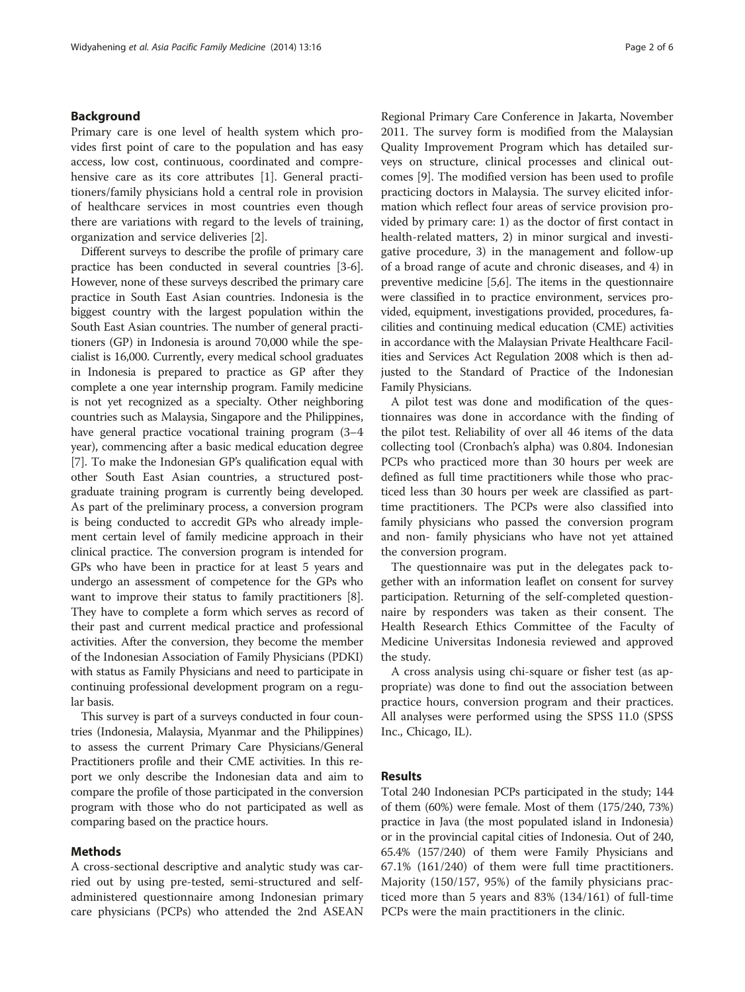## Background

Primary care is one level of health system which provides first point of care to the population and has easy access, low cost, continuous, coordinated and compre-hensive care as its core attributes [\[1](#page-5-0)]. General practitioners/family physicians hold a central role in provision of healthcare services in most countries even though there are variations with regard to the levels of training, organization and service deliveries [[2\]](#page-5-0).

Different surveys to describe the profile of primary care practice has been conducted in several countries [\[3](#page-5-0)-[6](#page-5-0)]. However, none of these surveys described the primary care practice in South East Asian countries. Indonesia is the biggest country with the largest population within the South East Asian countries. The number of general practitioners (GP) in Indonesia is around 70,000 while the specialist is 16,000. Currently, every medical school graduates in Indonesia is prepared to practice as GP after they complete a one year internship program. Family medicine is not yet recognized as a specialty. Other neighboring countries such as Malaysia, Singapore and the Philippines, have general practice vocational training program (3–4 year), commencing after a basic medical education degree [[7\]](#page-5-0). To make the Indonesian GP's qualification equal with other South East Asian countries, a structured postgraduate training program is currently being developed. As part of the preliminary process, a conversion program is being conducted to accredit GPs who already implement certain level of family medicine approach in their clinical practice. The conversion program is intended for GPs who have been in practice for at least 5 years and undergo an assessment of competence for the GPs who want to improve their status to family practitioners [[8](#page-5-0)]. They have to complete a form which serves as record of their past and current medical practice and professional activities. After the conversion, they become the member of the Indonesian Association of Family Physicians (PDKI) with status as Family Physicians and need to participate in continuing professional development program on a regular basis.

This survey is part of a surveys conducted in four countries (Indonesia, Malaysia, Myanmar and the Philippines) to assess the current Primary Care Physicians/General Practitioners profile and their CME activities. In this report we only describe the Indonesian data and aim to compare the profile of those participated in the conversion program with those who do not participated as well as comparing based on the practice hours.

### Methods

A cross-sectional descriptive and analytic study was carried out by using pre-tested, semi-structured and selfadministered questionnaire among Indonesian primary care physicians (PCPs) who attended the 2nd ASEAN

Regional Primary Care Conference in Jakarta, November 2011. The survey form is modified from the Malaysian Quality Improvement Program which has detailed surveys on structure, clinical processes and clinical outcomes [[9\]](#page-5-0). The modified version has been used to profile practicing doctors in Malaysia. The survey elicited information which reflect four areas of service provision provided by primary care: 1) as the doctor of first contact in health-related matters, 2) in minor surgical and investigative procedure, 3) in the management and follow-up of a broad range of acute and chronic diseases, and 4) in preventive medicine [\[5,6](#page-5-0)]. The items in the questionnaire were classified in to practice environment, services provided, equipment, investigations provided, procedures, facilities and continuing medical education (CME) activities in accordance with the Malaysian Private Healthcare Facilities and Services Act Regulation 2008 which is then adjusted to the Standard of Practice of the Indonesian Family Physicians.

A pilot test was done and modification of the questionnaires was done in accordance with the finding of the pilot test. Reliability of over all 46 items of the data collecting tool (Cronbach's alpha) was 0.804. Indonesian PCPs who practiced more than 30 hours per week are defined as full time practitioners while those who practiced less than 30 hours per week are classified as parttime practitioners. The PCPs were also classified into family physicians who passed the conversion program and non- family physicians who have not yet attained the conversion program.

The questionnaire was put in the delegates pack together with an information leaflet on consent for survey participation. Returning of the self-completed questionnaire by responders was taken as their consent. The Health Research Ethics Committee of the Faculty of Medicine Universitas Indonesia reviewed and approved the study.

A cross analysis using chi-square or fisher test (as appropriate) was done to find out the association between practice hours, conversion program and their practices. All analyses were performed using the SPSS 11.0 (SPSS Inc., Chicago, IL).

## Results

Total 240 Indonesian PCPs participated in the study; 144 of them (60%) were female. Most of them (175/240, 73%) practice in Java (the most populated island in Indonesia) or in the provincial capital cities of Indonesia. Out of 240, 65.4% (157/240) of them were Family Physicians and 67.1% (161/240) of them were full time practitioners. Majority (150/157, 95%) of the family physicians practiced more than 5 years and 83% (134/161) of full-time PCPs were the main practitioners in the clinic.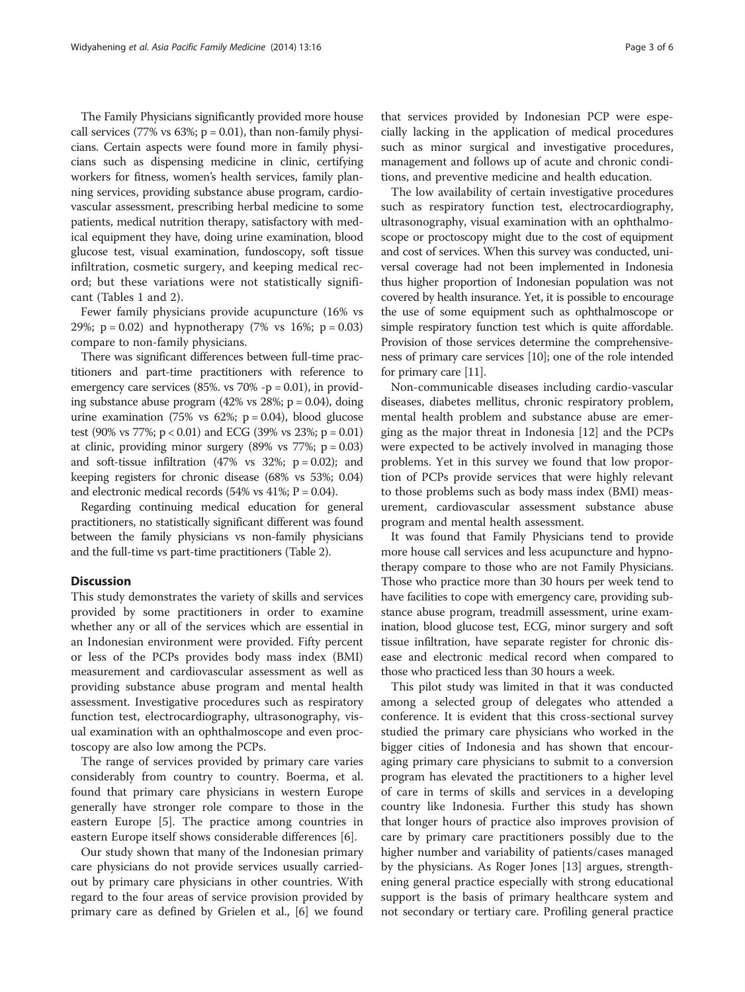The Family Physicians significantly provided more house call services (77% vs  $63\%$ ; p = 0.01), than non-family physicians. Certain aspects were found more in family physicians such as dispensing medicine in clinic, certifying workers for fitness, women's health services, family planning services, providing substance abuse program, cardiovascular assessment, prescribing herbal medicine to some patients, medical nutrition therapy, satisfactory with medical equipment they have, doing urine examination, blood glucose test, visual examination, fundoscopy, soft tissue infiltration, cosmetic surgery, and keeping medical record; but these variations were not statistically significant (Tables [1](#page-3-0) and [2](#page-4-0)).

Fewer family physicians provide acupuncture (16% vs 29%;  $p = 0.02$ ) and hypnotherapy (7% vs 16%;  $p = 0.03$ ) compare to non-family physicians.

There was significant differences between full-time practitioners and part-time practitioners with reference to emergency care services (85%. vs  $70\%$  -p = 0.01), in providing substance abuse program  $(42\% \text{ vs } 28\%; \text{ p} = 0.04)$ , doing urine examination (75% vs 62%;  $p = 0.04$ ), blood glucose test (90% vs 77%;  $p < 0.01$ ) and ECG (39% vs 23%;  $p = 0.01$ ) at clinic, providing minor surgery  $(89\% \text{ vs } 77\%; \text{ p} = 0.03)$ and soft-tissue infiltration (47% vs  $32\%$ ; p = 0.02); and keeping registers for chronic disease (68% vs 53%; 0.04) and electronic medical records (54% vs 41%;  $P = 0.04$ ).

Regarding continuing medical education for general practitioners, no statistically significant different was found between the family physicians vs non-family physicians and the full-time vs part-time practitioners (Table [2\)](#page-4-0).

# **Discussion**

This study demonstrates the variety of skills and services provided by some practitioners in order to examine whether any or all of the services which are essential in an Indonesian environment were provided. Fifty percent or less of the PCPs provides body mass index (BMI) measurement and cardiovascular assessment as well as providing substance abuse program and mental health assessment. Investigative procedures such as respiratory function test, electrocardiography, ultrasonography, visual examination with an ophthalmoscope and even proctoscopy are also low among the PCPs.

The range of services provided by primary care varies considerably from country to country. Boerma, et al. found that primary care physicians in western Europe generally have stronger role compare to those in the eastern Europe [[5\]](#page-5-0). The practice among countries in eastern Europe itself shows considerable differences [\[6](#page-5-0)].

Our study shown that many of the Indonesian primary care physicians do not provide services usually carriedout by primary care physicians in other countries. With regard to the four areas of service provision provided by primary care as defined by Grielen et al., [\[6\]](#page-5-0) we found

that services provided by Indonesian PCP were especially lacking in the application of medical procedures such as minor surgical and investigative procedures, management and follows up of acute and chronic conditions, and preventive medicine and health education.

The low availability of certain investigative procedures such as respiratory function test, electrocardiography, ultrasonography, visual examination with an ophthalmoscope or proctoscopy might due to the cost of equipment and cost of services. When this survey was conducted, universal coverage had not been implemented in Indonesia thus higher proportion of Indonesian population was not covered by health insurance. Yet, it is possible to encourage the use of some equipment such as ophthalmoscope or simple respiratory function test which is quite affordable. Provision of those services determine the comprehensiveness of primary care services [\[10](#page-5-0)]; one of the role intended for primary care [\[11\]](#page-5-0).

Non-communicable diseases including cardio-vascular diseases, diabetes mellitus, chronic respiratory problem, mental health problem and substance abuse are emerging as the major threat in Indonesia [[12\]](#page-5-0) and the PCPs were expected to be actively involved in managing those problems. Yet in this survey we found that low proportion of PCPs provide services that were highly relevant to those problems such as body mass index (BMI) measurement, cardiovascular assessment substance abuse program and mental health assessment.

It was found that Family Physicians tend to provide more house call services and less acupuncture and hypnotherapy compare to those who are not Family Physicians. Those who practice more than 30 hours per week tend to have facilities to cope with emergency care, providing substance abuse program, treadmill assessment, urine examination, blood glucose test, ECG, minor surgery and soft tissue infiltration, have separate register for chronic disease and electronic medical record when compared to those who practiced less than 30 hours a week.

This pilot study was limited in that it was conducted among a selected group of delegates who attended a conference. It is evident that this cross-sectional survey studied the primary care physicians who worked in the bigger cities of Indonesia and has shown that encouraging primary care physicians to submit to a conversion program has elevated the practitioners to a higher level of care in terms of skills and services in a developing country like Indonesia. Further this study has shown that longer hours of practice also improves provision of care by primary care practitioners possibly due to the higher number and variability of patients/cases managed by the physicians. As Roger Jones [[13](#page-5-0)] argues, strengthening general practice especially with strong educational support is the basis of primary healthcare system and not secondary or tertiary care. Profiling general practice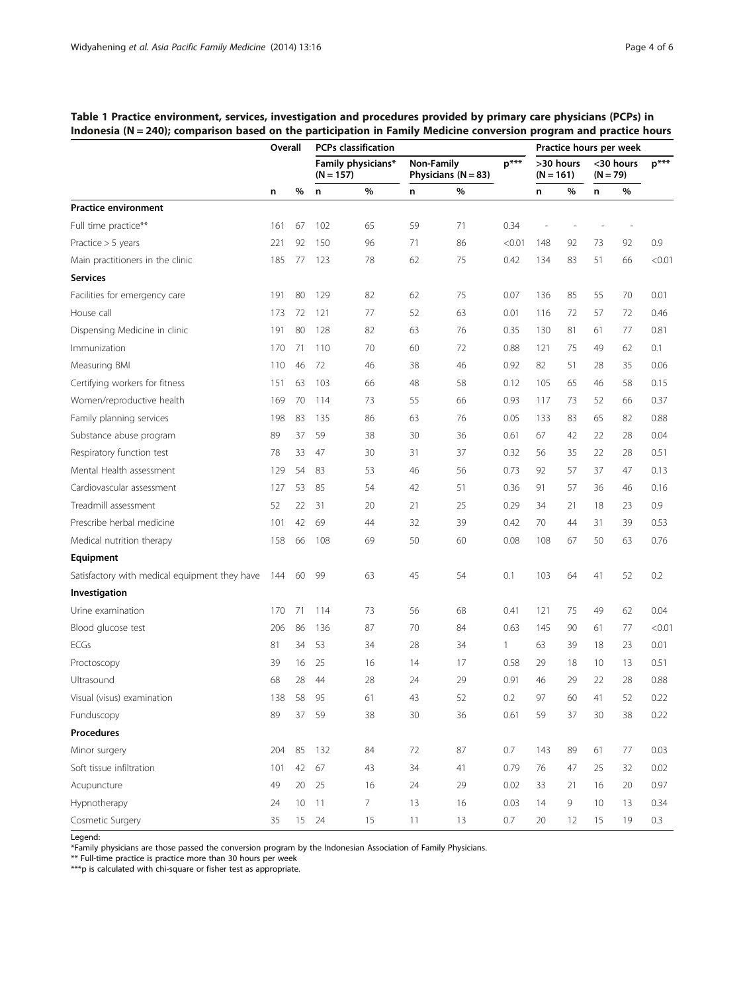|                                               | Overall |    | <b>PCPs classification</b>        |    |                                     |    |              | Practice hours per week  |    |                         |    |        |
|-----------------------------------------------|---------|----|-----------------------------------|----|-------------------------------------|----|--------------|--------------------------|----|-------------------------|----|--------|
|                                               |         |    | Family physicians*<br>$(N = 157)$ |    | Non-Family<br>Physicians $(N = 83)$ |    | $p***$       | >30 hours<br>$(N = 161)$ |    | <30 hours<br>$(N = 79)$ |    | $p***$ |
|                                               | n       | %  | n                                 | %  | n                                   | %  |              | n                        | %  | n                       | %  |        |
| <b>Practice environment</b>                   |         |    |                                   |    |                                     |    |              |                          |    |                         |    |        |
| Full time practice**                          | 161     | 67 | 102                               | 65 | 59                                  | 71 | 0.34         |                          |    |                         |    |        |
| Practice $> 5$ years                          | 221     | 92 | 150                               | 96 | 71                                  | 86 | < 0.01       | 148                      | 92 | 73                      | 92 | 0.9    |
| Main practitioners in the clinic              | 185     | 77 | 123                               | 78 | 62                                  | 75 | 0.42         | 134                      | 83 | 51                      | 66 | < 0.01 |
| <b>Services</b>                               |         |    |                                   |    |                                     |    |              |                          |    |                         |    |        |
| Facilities for emergency care                 | 191     | 80 | 129                               | 82 | 62                                  | 75 | 0.07         | 136                      | 85 | 55                      | 70 | 0.01   |
| House call                                    | 173     | 72 | 121                               | 77 | 52                                  | 63 | 0.01         | 116                      | 72 | 57                      | 72 | 0.46   |
| Dispensing Medicine in clinic                 | 191     | 80 | 128                               | 82 | 63                                  | 76 | 0.35         | 130                      | 81 | 61                      | 77 | 0.81   |
| Immunization                                  | 170     | 71 | 110                               | 70 | 60                                  | 72 | 0.88         | 121                      | 75 | 49                      | 62 | 0.1    |
| Measuring BMI                                 | 110     | 46 | 72                                | 46 | 38                                  | 46 | 0.92         | 82                       | 51 | 28                      | 35 | 0.06   |
| Certifying workers for fitness                | 151     | 63 | 103                               | 66 | 48                                  | 58 | 0.12         | 105                      | 65 | 46                      | 58 | 0.15   |
| Women/reproductive health                     | 169     | 70 | 114                               | 73 | 55                                  | 66 | 0.93         | 117                      | 73 | 52                      | 66 | 0.37   |
| Family planning services                      | 198     | 83 | 135                               | 86 | 63                                  | 76 | 0.05         | 133                      | 83 | 65                      | 82 | 0.88   |
| Substance abuse program                       | 89      | 37 | 59                                | 38 | 30                                  | 36 | 0.61         | 67                       | 42 | 22                      | 28 | 0.04   |
| Respiratory function test                     | 78      | 33 | 47                                | 30 | 31                                  | 37 | 0.32         | 56                       | 35 | 22                      | 28 | 0.51   |
| Mental Health assessment                      | 129     | 54 | 83                                | 53 | 46                                  | 56 | 0.73         | 92                       | 57 | 37                      | 47 | 0.13   |
| Cardiovascular assessment                     | 127     | 53 | 85                                | 54 | 42                                  | 51 | 0.36         | 91                       | 57 | 36                      | 46 | 0.16   |
| Treadmill assessment                          | 52      | 22 | 31                                | 20 | 21                                  | 25 | 0.29         | 34                       | 21 | 18                      | 23 | 0.9    |
| Prescribe herbal medicine                     | 101     | 42 | 69                                | 44 | 32                                  | 39 | 0.42         | 70                       | 44 | 31                      | 39 | 0.53   |
| Medical nutrition therapy                     | 158     | 66 | 108                               | 69 | 50                                  | 60 | 0.08         | 108                      | 67 | 50                      | 63 | 0.76   |
| Equipment                                     |         |    |                                   |    |                                     |    |              |                          |    |                         |    |        |
| Satisfactory with medical equipment they have | 144     | 60 | 99                                | 63 | 45                                  | 54 | 0.1          | 103                      | 64 | 41                      | 52 | 0.2    |
| Investigation                                 |         |    |                                   |    |                                     |    |              |                          |    |                         |    |        |
| Urine examination                             | 170     | 71 | 114                               | 73 | 56                                  | 68 | 0.41         | 121                      | 75 | 49                      | 62 | 0.04   |
| Blood glucose test                            | 206     | 86 | 136                               | 87 | 70                                  | 84 | 0.63         | 145                      | 90 | 61                      | 77 | < 0.01 |
| <b>ECGs</b>                                   | 81      | 34 | 53                                | 34 | 28                                  | 34 | $\mathbf{1}$ | 63                       | 39 | 18                      | 23 | 0.01   |
| Proctoscopy                                   | 39      | 16 | 25                                | 16 | 14                                  | 17 | 0.58         | 29                       | 18 | 10                      | 13 | 0.51   |
| Ultrasound                                    | 68      | 28 | 44                                | 28 | 24                                  | 29 | 0.91         | 46                       | 29 | 22                      | 28 | 0.88   |
| Visual (visus) examination                    | 138     | 58 | 95                                | 61 | 43                                  | 52 | 0.2          | 97                       | 60 | 41                      | 52 | 0.22   |
| Funduscopy                                    | 89      | 37 | 59                                | 38 | 30                                  | 36 | 0.61         | 59                       | 37 | 30                      | 38 | 0.22   |
| <b>Procedures</b>                             |         |    |                                   |    |                                     |    |              |                          |    |                         |    |        |
| Minor surgery                                 | 204     | 85 | 132                               | 84 | 72                                  | 87 | $0.7\,$      | 143                      | 89 | 61                      | 77 | 0.03   |
| Soft tissue infiltration                      | 101     | 42 | 67                                | 43 | 34                                  | 41 | 0.79         | 76                       | 47 | 25                      | 32 | 0.02   |
| Acupuncture                                   | 49      | 20 | 25                                | 16 | 24                                  | 29 | 0.02         | 33                       | 21 | 16                      | 20 | 0.97   |
| Hypnotherapy                                  | 24      | 10 | $-11$                             | 7  | 13                                  | 16 | 0.03         | 14                       | 9  | 10                      | 13 | 0.34   |
| Cosmetic Surgery                              | 35      |    | 15 24                             | 15 | 11                                  | 13 | 0.7          | 20                       | 12 | 15                      | 19 | 0.3    |

<span id="page-3-0"></span>Table 1 Practice environment, services, investigation and procedures provided by primary care physicians (PCPs) in Indonesia (N = 240); comparison based on the participation in Family Medicine conversion program and practice hours

Legend:

\*Family physicians are those passed the conversion program by the Indonesian Association of Family Physicians.

\*\* Full-time practice is practice more than 30 hours per week

\*\*\*p is calculated with chi-square or fisher test as appropriate.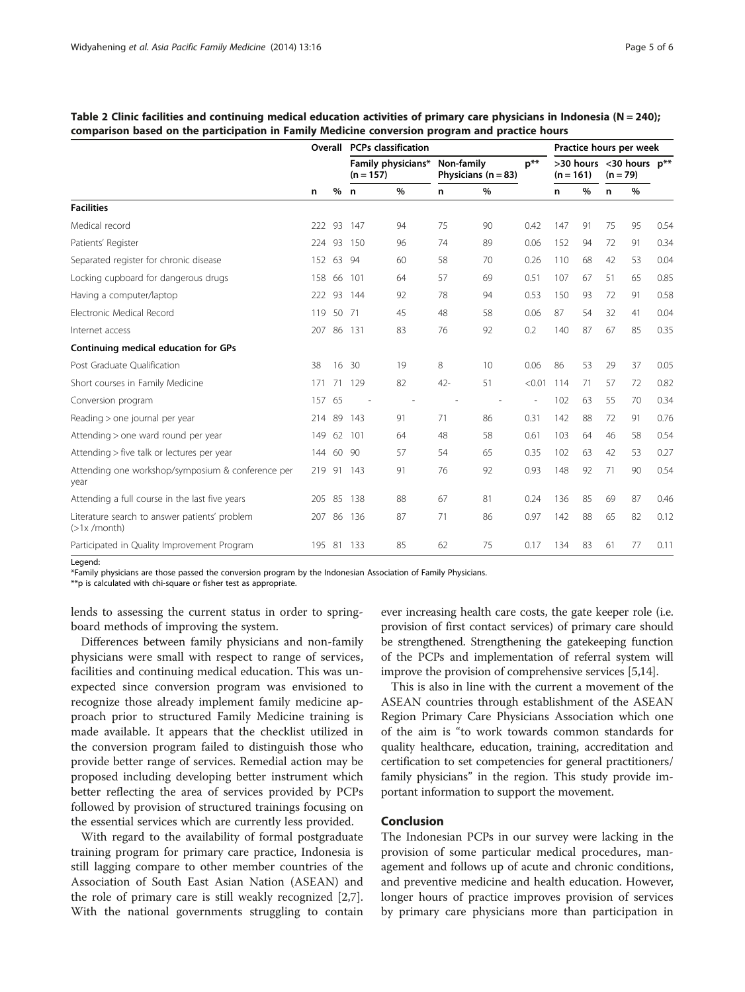|                                                                 | Overall |       | <b>PCPs classification</b>        |    |                                       |    |          | Practice hours per week |      |                                            |      |      |
|-----------------------------------------------------------------|---------|-------|-----------------------------------|----|---------------------------------------|----|----------|-------------------------|------|--------------------------------------------|------|------|
|                                                                 |         |       | Family physicians*<br>$(n = 157)$ |    | Non-family<br>Physicians ( $n = 83$ ) |    | $p^{**}$ | $(n = 161)$             |      | $>30$ hours < 30 hours $p**$<br>$(n = 79)$ |      |      |
|                                                                 | n       | %     | $\mathbf n$                       | %  | n                                     | %  |          | n                       | $\%$ | n                                          | $\%$ |      |
| <b>Facilities</b>                                               |         |       |                                   |    |                                       |    |          |                         |      |                                            |      |      |
| Medical record                                                  | 222     | -93   | 147                               | 94 | 75                                    | 90 | 0.42     | 147                     | 91   | 75                                         | 95   | 0.54 |
| Patients' Register                                              | 224     | 93    | 150                               | 96 | 74                                    | 89 | 0.06     | 152                     | 94   | 72                                         | 91   | 0.34 |
| Separated register for chronic disease                          | 152     | 63    | -94                               | 60 | 58                                    | 70 | 0.26     | 110                     | 68   | 42                                         | 53   | 0.04 |
| Locking cupboard for dangerous drugs                            | 158     | 66    | 101                               | 64 | 57                                    | 69 | 0.51     | 107                     | 67   | 51                                         | 65   | 0.85 |
| Having a computer/laptop                                        | 222     | -93   | 144                               | 92 | 78                                    | 94 | 0.53     | 150                     | 93   | 72                                         | 91   | 0.58 |
| Electronic Medical Record                                       | 119     | 50 71 |                                   | 45 | 48                                    | 58 | 0.06     | 87                      | 54   | 32                                         | 41   | 0.04 |
| Internet access                                                 | 207     | 86    | 131                               | 83 | 76                                    | 92 | 0.2      | 140                     | 87   | 67                                         | 85   | 0.35 |
| Continuing medical education for GPs                            |         |       |                                   |    |                                       |    |          |                         |      |                                            |      |      |
| Post Graduate Oualification                                     | 38      | 16    | 30                                | 19 | 8                                     | 10 | 0.06     | 86                      | 53   | 29                                         | 37   | 0.05 |
| Short courses in Family Medicine                                | 171     | 71    | 129                               | 82 | $42 -$                                | 51 | < 0.01   | 114                     | 71   | 57                                         | 72   | 0.82 |
| Conversion program                                              | 157     | 65    |                                   |    |                                       |    |          | 102                     | 63   | 55                                         | 70   | 0.34 |
| Reading > one journal per year                                  | 214     | -89   | 143                               | 91 | 71                                    | 86 | 0.31     | 142                     | 88   | 72                                         | 91   | 0.76 |
| Attending > one ward round per year                             | 149     | 62    | 101                               | 64 | 48                                    | 58 | 0.61     | 103                     | 64   | 46                                         | 58   | 0.54 |
| Attending > five talk or lectures per year                      | 144 60  |       | 90                                | 57 | 54                                    | 65 | 0.35     | 102                     | 63   | 42                                         | 53   | 0.27 |
| Attending one workshop/symposium & conference per<br>year       | 219     | -91   | 143                               | 91 | 76                                    | 92 | 0.93     | 148                     | 92   | 71                                         | 90   | 0.54 |
| Attending a full course in the last five years                  | 205     | 85    | 138                               | 88 | 67                                    | 81 | 0.24     | 136                     | 85   | 69                                         | 87   | 0.46 |
| Literature search to answer patients' problem<br>$($ >1x/month) | 207     | 86    | 136                               | 87 | 71                                    | 86 | 0.97     | 142                     | 88   | 65                                         | 82   | 0.12 |
| Participated in Quality Improvement Program                     |         |       | 195 81 133                        | 85 | 62                                    | 75 | 0.17     | 134                     | 83   | 61                                         | 77   | 0.11 |

<span id="page-4-0"></span>

| Table 2 Clinic facilities and continuing medical education activities of primary care physicians in Indonesia (N = 240); |  |  |  |
|--------------------------------------------------------------------------------------------------------------------------|--|--|--|
| comparison based on the participation in Family Medicine conversion program and practice hours                           |  |  |  |

Legend:

\*Family physicians are those passed the conversion program by the Indonesian Association of Family Physicians.

\*\*p is calculated with chi-square or fisher test as appropriate.

lends to assessing the current status in order to springboard methods of improving the system.

Differences between family physicians and non-family physicians were small with respect to range of services, facilities and continuing medical education. This was unexpected since conversion program was envisioned to recognize those already implement family medicine approach prior to structured Family Medicine training is made available. It appears that the checklist utilized in the conversion program failed to distinguish those who provide better range of services. Remedial action may be proposed including developing better instrument which better reflecting the area of services provided by PCPs followed by provision of structured trainings focusing on the essential services which are currently less provided.

With regard to the availability of formal postgraduate training program for primary care practice, Indonesia is still lagging compare to other member countries of the Association of South East Asian Nation (ASEAN) and the role of primary care is still weakly recognized [\[2,7](#page-5-0)]. With the national governments struggling to contain

ever increasing health care costs, the gate keeper role (i.e. provision of first contact services) of primary care should be strengthened. Strengthening the gatekeeping function of the PCPs and implementation of referral system will improve the provision of comprehensive services [\[5,14\]](#page-5-0).

This is also in line with the current a movement of the ASEAN countries through establishment of the ASEAN Region Primary Care Physicians Association which one of the aim is "to work towards common standards for quality healthcare, education, training, accreditation and certification to set competencies for general practitioners/ family physicians" in the region. This study provide important information to support the movement.

# Conclusion

The Indonesian PCPs in our survey were lacking in the provision of some particular medical procedures, management and follows up of acute and chronic conditions, and preventive medicine and health education. However, longer hours of practice improves provision of services by primary care physicians more than participation in